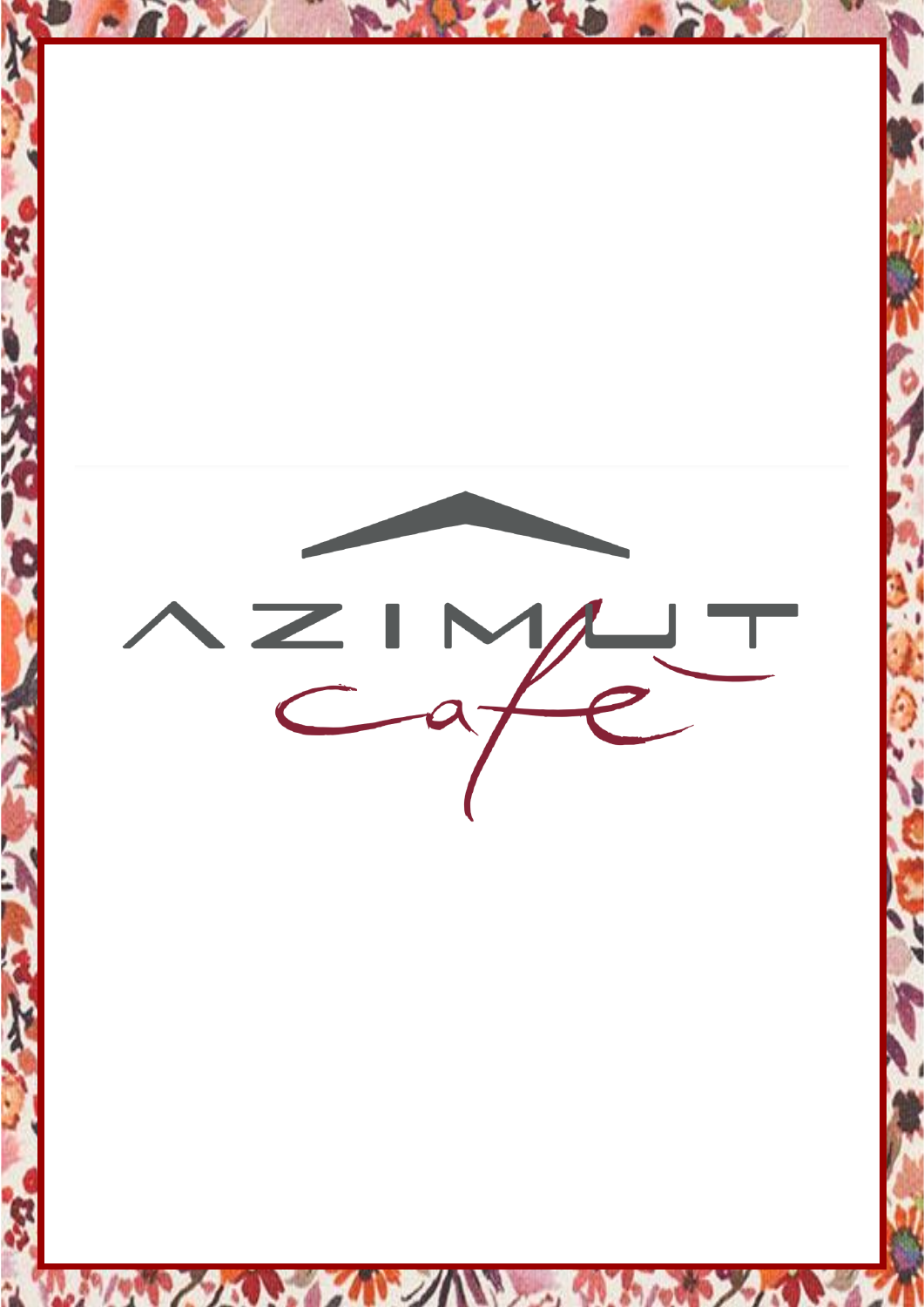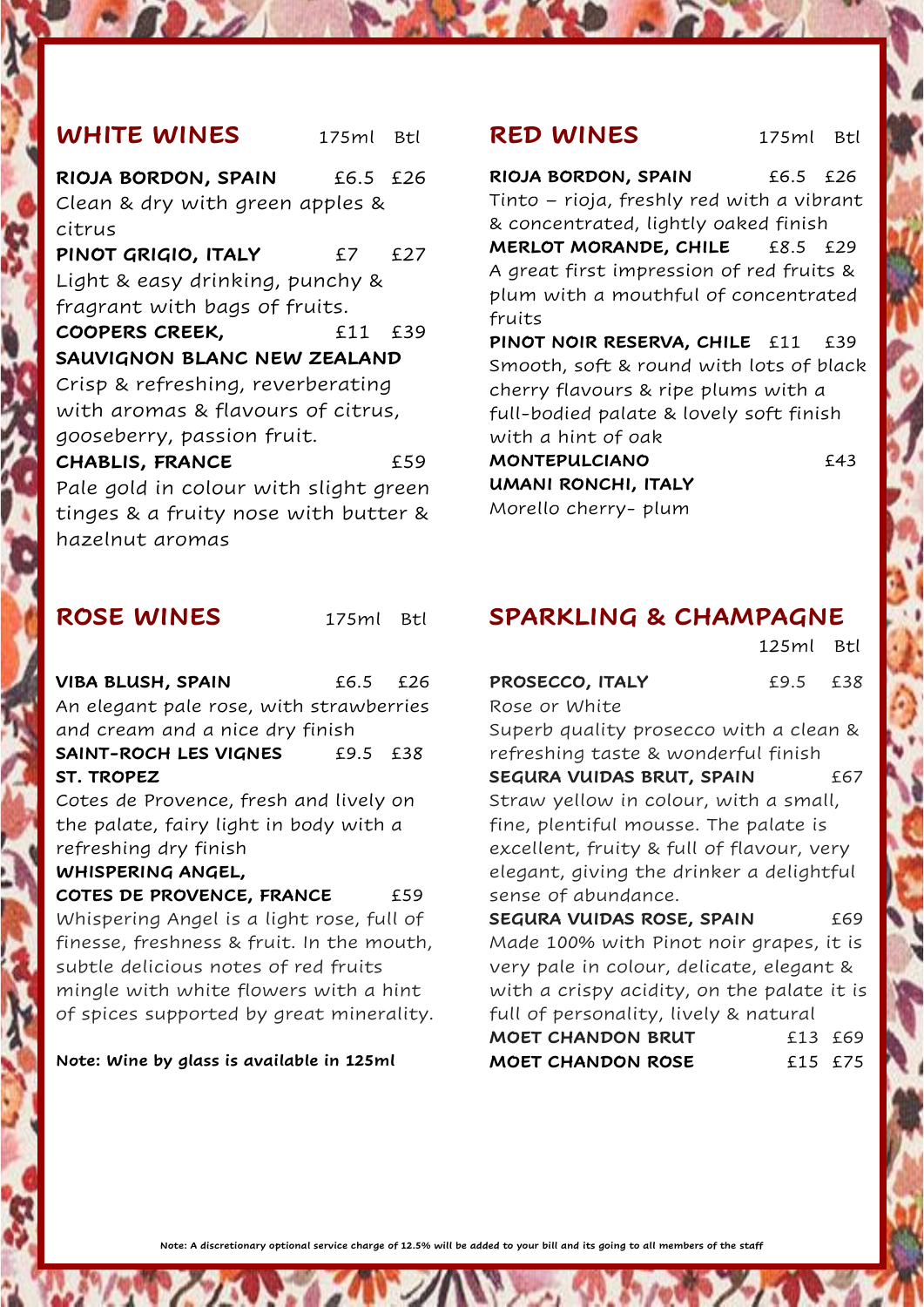# **WHITE WINES** 175ml Btl

**RIOJA BORDON, SPAIN** £6.5 £26 Clean & dry with green apples & citrus **PINOT GRIGIO, ITALY** £7 £27 Light & easy drinking, punchy & fragrant with bags of fruits. **COOPERS CREEK,** £11 £39 **SAUVIGNON BLANC NEW ZEALAND** Crisp & refreshing, reverberating with aromas & flavours of citrus, gooseberry, passion fruit. **CHABLIS, FRANCE** £59

Pale gold in colour with slight green tinges & a fruity nose with butter & hazelnut aromas

### **ROSE WINES** 175ml Btl

**VIBA BLUSH, SPAIN** £6.5 £26 An elegant pale rose, with strawberries and cream and a nice dry finish **SAINT-ROCH LES VIGNES** £9.5 £38 **ST. TROPEZ**

Cotes de Provence, fresh and lively on the palate, fairy light in body with a refreshing dry finish **WHISPERING ANGEL,** 

**COTES DE PROVENCE, FRANCE** £59 Whispering Angel is a light rose, full of finesse, freshness & fruit. In the mouth, subtle delicious notes of red fruits mingle with white flowers with a hint of spices supported by great minerality.

**Note: Wine by glass is available in 125ml**

#### **RED WINES** 175ml Btl

**RIOJA BORDON, SPAIN** £6.5 £26 Tinto – rioja, freshly red with a vibrant & concentrated, lightly oaked finish **MERLOT MORANDE, CHILE £8.5** £29 A great first impression of red fruits & plum with a mouthful of concentrated fruits **PINOT NOIR RESERVA, CHILE** £11 £39 Smooth, soft & round with lots of black cherry flavours & ripe plums with a full-bodied palate & lovely soft finish with a hint of oak **MONTEPULCIANO** £43 **UMANI RONCHI, ITALY**

Morello cherry- plum

## **SPARKLING & CHAMPAGNE**

 125ml Btl **PROSECCO, ITALY** £9.5 £38 Rose or White Superb quality prosecco with a clean & refreshing taste & wonderful finish **SEGURA VUIDAS BRUT, SPAIN EG7** Straw yellow in colour, with a small, fine, plentiful mousse. The palate is excellent, fruity & full of flavour, very elegant, giving the drinker a delightful sense of abundance. **SEGURA VUIDAS ROSE, SPAIN** 669 Made 100% with Pinot noir grapes, it is very pale in colour, delicate, elegant & with a crispy acidity, on the palate it is full of personality, lively & natural **MOET CHANDON BRUT** £13 £69 **MOET CHANDON ROSE** £15 £75

**Note: A discretionary optional service charge of 12.5% will be added to your bill and its going to all members of the staff**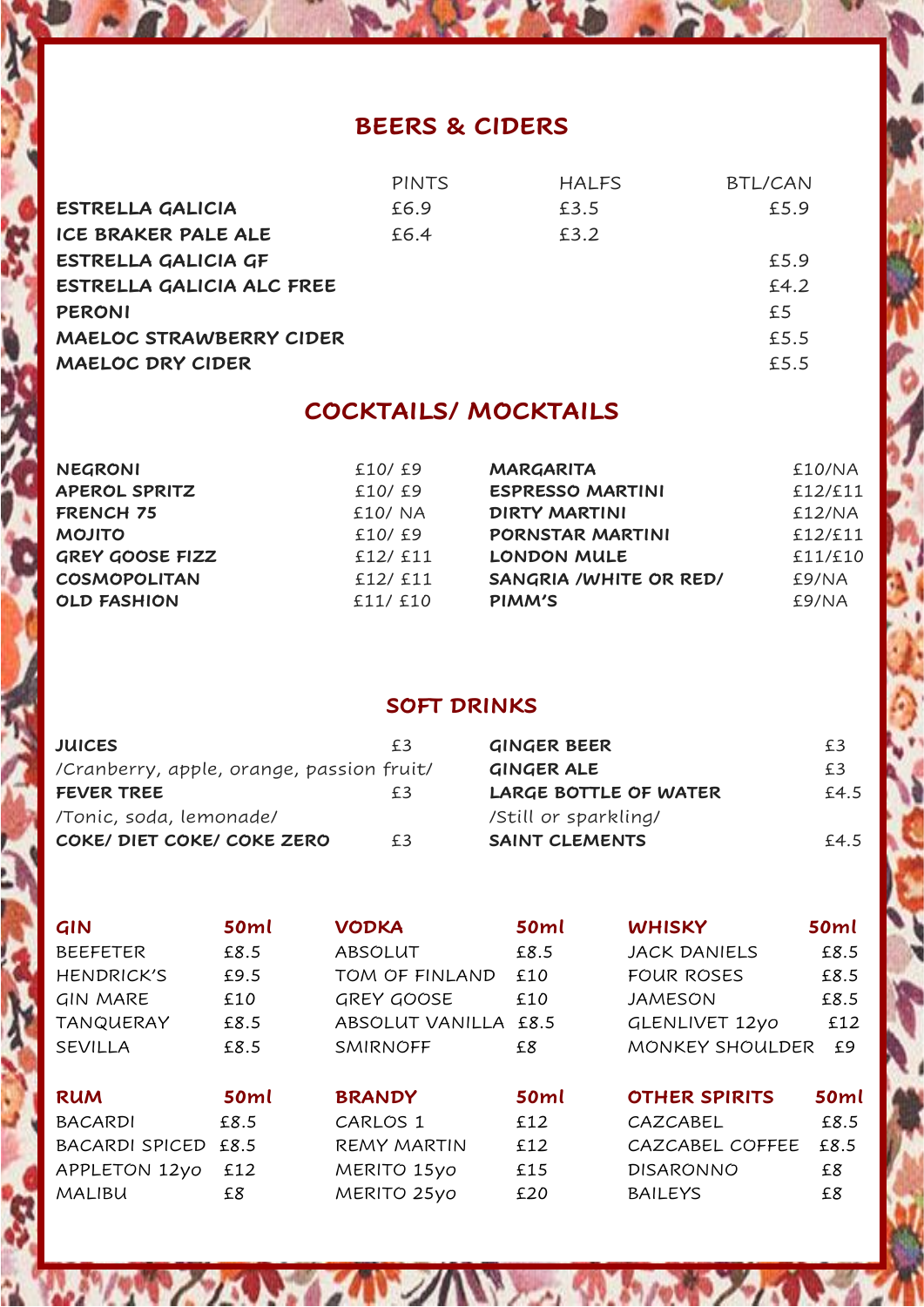# **BEERS & CIDERS**

|                                | <b>PINTS</b> | <b>HALFS</b> | <b>BTL/CAN</b> |
|--------------------------------|--------------|--------------|----------------|
| <b>ESTRELLA GALICIA</b>        | £6.9         | £3.5         | £5.9           |
| ICE BRAKER PALE ALE            | £6.4         | £3.2         |                |
| ESTRELLA GALICIA GF            |              |              | £5.9           |
| ESTRELLA GALICIA ALC FREE      |              |              | £4.2           |
| <b>PERONI</b>                  |              |              | £5             |
| <b>MAELOC STRAWBERRY CIDER</b> |              |              | £5.5           |
| <b>MAELOC DRY CIDER</b>        |              |              | £5.5           |
|                                |              |              |                |

# **COCKTAILS/ MOCKTAILS**

| <b>NEGRONI</b>       | £10/£9   | <b>MARGARITA</b>        | £10/NA  |
|----------------------|----------|-------------------------|---------|
| <b>APEROL SPRITZ</b> | £10/ £9  | <b>ESPRESSO MARTINI</b> | £12/£11 |
| FRENCH 75            | £10/ NA  | <b>DIRTY MARTINI</b>    | £12/NA  |
| <b>MOJITO</b>        | £10/£9   | PORNSTAR MARTINI        | £12/£11 |
| GREY GOOSE FIZZ      | £12/ £11 | <b>LONDON MULE</b>      | £11/£10 |
| <b>COSMOPOLITAN</b>  | £12/ £11 | SANGRIA / WHITE OR RED/ | £9/NA   |
| <b>OLD FASHION</b>   | £11/ £10 | <b>PIMM'S</b>           | £9/NA   |
|                      |          |                         |         |

# **SOFT DRINKS**

| <b>JUICES</b>                             | £3 | <b>GINGER BEER</b>    | £3   |
|-------------------------------------------|----|-----------------------|------|
| /Cranberry, apple, orange, passion fruit/ |    | <b>GINGER ALE</b>     | £3   |
| <b>FEVER TREE</b>                         | £3 | LARGE BOTTLE OF WATER | £4.5 |
| /Tonic, soda, lemonade/                   |    | /Still or sparkling/  |      |
| COKE/ DIET COKE/ COKE ZERO                | f3 | <b>SAINT CLEMENTS</b> | £4.5 |

| GIN                   | <b>50ml</b> | <b>VODKA</b>           | <b>50ml</b> | <b>WHISKY</b>         | <b>50ml</b> |
|-----------------------|-------------|------------------------|-------------|-----------------------|-------------|
| <b>BEEFETER</b>       | £8.5        | <b>ABSOLUT</b>         | £8.5        | <b>JACK DANIELS</b>   | £8.5        |
| <b>HENDRICK'S</b>     | £9.5        | TOM OF FINLAND         | £10         | <b>FOUR ROSES</b>     | £8.5        |
| <b>GIN MARE</b>       | £10         | GREY GOOSE             | £10         | <b>JAMESON</b>        | £8.5        |
| <b>TANQUERAY</b>      | £8.5        | <b>ABSOLUT VANILLA</b> | £8.5        | <b>GLENLIVET 12yo</b> | £12         |
| <b>SEVILLA</b>        | £8.5        | <b>SMIRNOFF</b>        | £8          | MONKEY SHOULDER       | £9          |
|                       |             |                        |             |                       |             |
| <b>RUM</b>            | <b>50ml</b> | <b>BRANDY</b>          | <b>50ml</b> | <b>OTHER SPIRITS</b>  | <b>50ml</b> |
| <b>BACARDI</b>        | £8.5        | CARLOS 1               | £12         | CAZCABEL              | £8.5        |
| <b>BACARDI SPICED</b> | £8.5        | <b>REMY MARTIN</b>     | £12         | CAZCABEL COFFEE       | £8.5        |
| APPLETON 12yo         | £12         | MERITO 15yo            | £15         | <b>DISARONNO</b>      | £8          |
| <b>MALIBU</b>         | £8          | MERITO 25yo            | £20         | <b>BAILEYS</b>        | £8          |